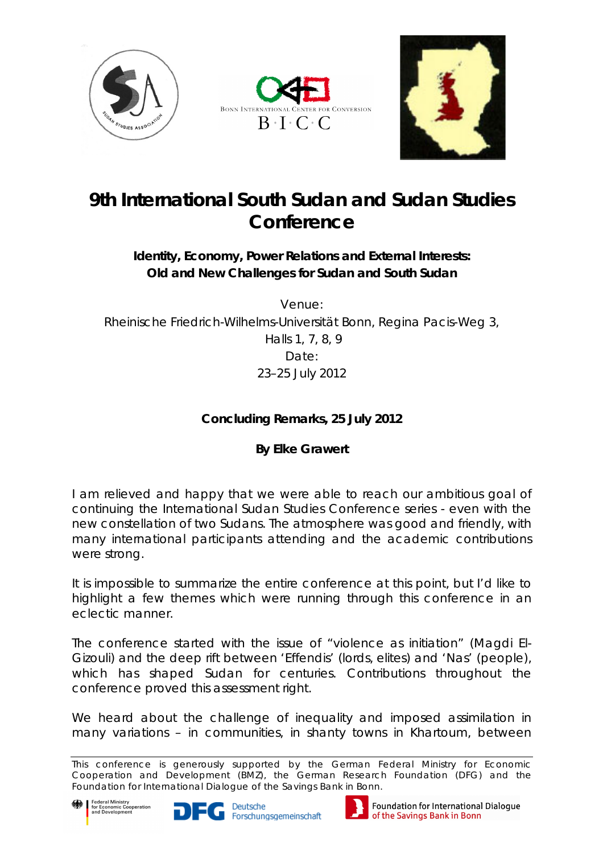





## **9th International South Sudan and Sudan Studies Conference**

*Identity, Economy, Power Relations and External Interests: Old and New Challenges for Sudan and South Sudan*

*Venue: Rheinische Friedrich-Wilhelms-Universität Bonn, Regina Pacis-Weg 3, Halls 1, 7, 8, 9 Date: 23–25 July 2012*

## *Concluding Remarks, 25 July 2012*

*By Elke Grawert*

I am relieved and happy that we were able to reach our ambitious goal of continuing the International Sudan Studies Conference series - even with the new constellation of two Sudans. The atmosphere was good and friendly, with many international participants attending and the academic contributions were strong.

It is impossible to summarize the entire conference at this point, but I'd like to highlight a few themes which were running through this conference in an eclectic manner.

The conference started with the issue of "violence as initiation" (Magdi El-Gizouli) and the deep rift between 'Effendis' (lords, elites) and 'Nas' (people), which has shaped Sudan for centuries. Contributions throughout the conference proved this assessment right.

We heard about the challenge of inequality and imposed assimilation in many variations – in communities, in shanty towns in Khartoum, between

This conference is generously supported by the German Federal Ministry for Economic Cooperation and Development (BMZ), the German Research Foundation (DFG) and the Foundation for International Dialogue of the Savings Bank in Bonn.







Foundation for International Dialoque of the Savings Bank in Bonn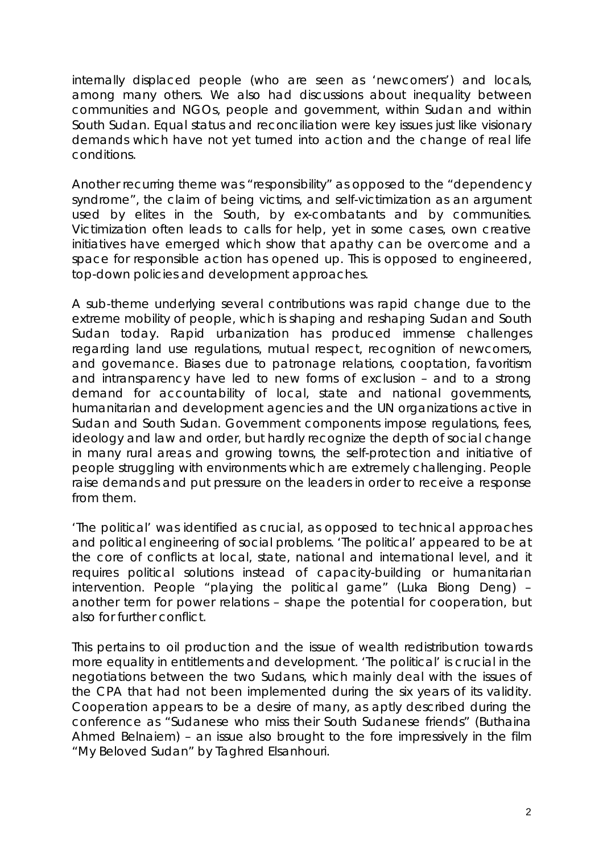internally displaced people (who are seen as 'newcomers') and locals, among many others. We also had discussions about inequality between communities and NGOs, people and government, within Sudan and within South Sudan. Equal status and reconciliation were key issues just like visionary demands which have not yet turned into action and the change of real life conditions.

Another recurring theme was "responsibility" as opposed to the "dependency syndrome", the claim of being victims, and self-victimization as an argument used by elites in the South, by ex-combatants and by communities. Victimization often leads to calls for help, yet in some cases, own creative initiatives have emerged which show that apathy can be overcome and a space for responsible action has opened up. This is opposed to engineered, top-down policies and development approaches.

A sub-theme underlying several contributions was rapid change due to the extreme mobility of people, which is shaping and reshaping Sudan and South Sudan today. Rapid urbanization has produced immense challenges regarding land use regulations, mutual respect, recognition of newcomers, and governance. Biases due to patronage relations, cooptation, favoritism and intransparency have led to new forms of exclusion – and to a strong demand for accountability of local, state and national governments, humanitarian and development agencies and the UN organizations active in Sudan and South Sudan. Government components impose regulations, fees, ideology and law and order, but hardly recognize the depth of social change in many rural areas and growing towns, the self-protection and initiative of people struggling with environments which are extremely challenging. People raise demands and put pressure on the leaders in order to receive a response from them.

'The political' was identified as crucial, as opposed to technical approaches and political engineering of social problems. 'The political' appeared to be at the core of conflicts at local, state, national and international level, and it requires political solutions instead of capacity-building or humanitarian intervention. People "playing the political game" (Luka Biong Deng) – another term for power relations – shape the potential for cooperation, but also for further conflict.

This pertains to oil production and the issue of wealth redistribution towards more equality in entitlements and development. 'The political' is crucial in the negotiations between the two Sudans, which mainly deal with the issues of the CPA that had not been implemented during the six years of its validity. Cooperation appears to be a desire of many, as aptly described during the conference as "Sudanese who miss their South Sudanese friends" (Buthaina Ahmed Belnaiem) – an issue also brought to the fore impressively in the film "My Beloved Sudan" by Taghred Elsanhouri.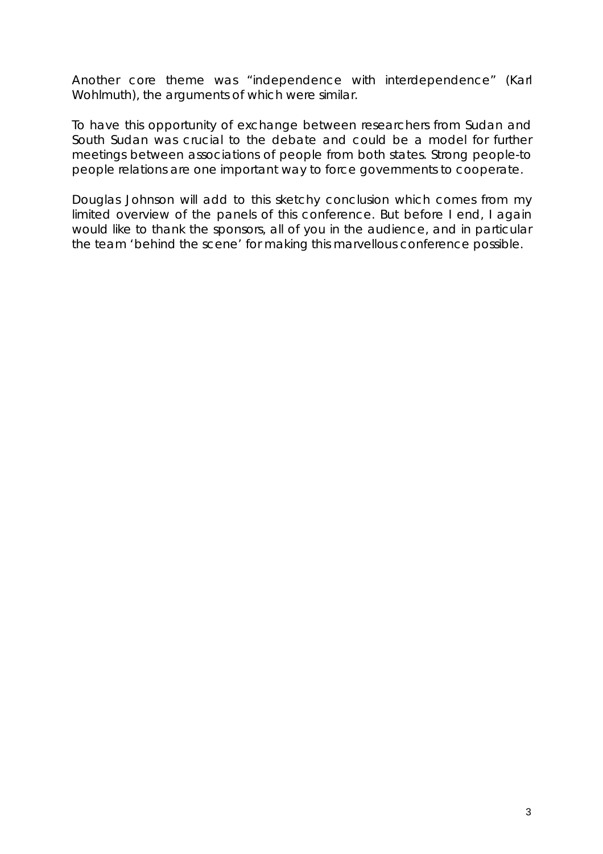Another core theme was "independence with interdependence" (Karl Wohlmuth), the arguments of which were similar.

To have this opportunity of exchange between researchers from Sudan and South Sudan was crucial to the debate and could be a model for further meetings between associations of people from both states. Strong people-to people relations are one important way to force governments to cooperate.

Douglas Johnson will add to this sketchy conclusion which comes from my limited overview of the panels of this conference. But before I end, I again would like to thank the sponsors, all of you in the audience, and in particular the team 'behind the scene' for making this marvellous conference possible.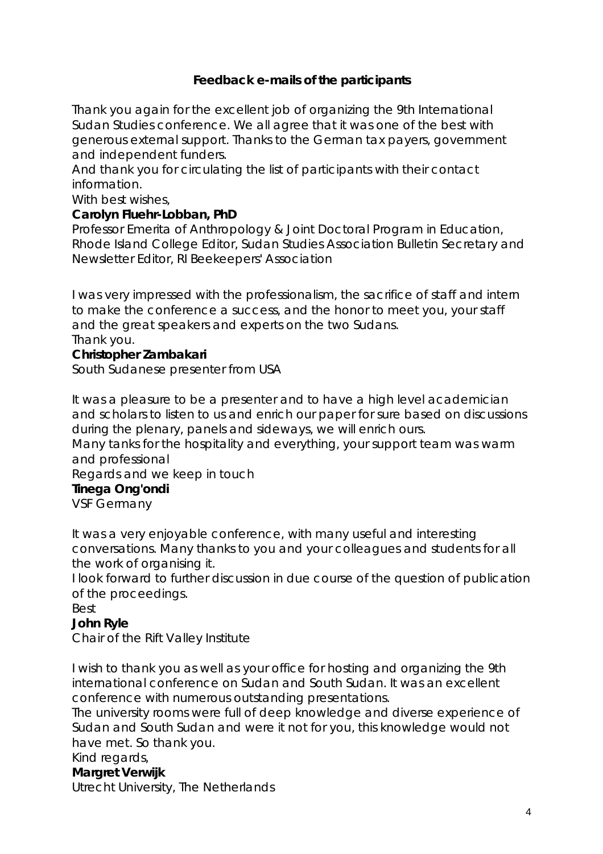*Feedback e-mails of the participants*

*Thank you again for the excellent job of organizing the 9th International Sudan Studies conference. We all agree that it was one of the best with generous external support. Thanks to the German tax payers, government and independent funders.*

*And thank you for circulating the list of participants with their contact information.*

*With best wishes,*

**Carolyn Fluehr-Lobban, PhD**

Professor Emerita of Anthropology & Joint Doctoral Program in Education, Rhode Island College Editor, Sudan Studies Association Bulletin Secretary and Newsletter Editor, RI Beekeepers' Association

*I* was very impressed with the professionalism, the sacrifice of staff and intern *to make the conference a success, and the honor to meet you, your staff and the great speakers and experts on the two Sudans.*

*Thank you.*

**Christopher Zambakari**

South Sudanese presenter from USA

*It was a pleasure to be a presenter and to have a high level academician and scholars to listen to us and enrich our paper for sure based on discussions during the plenary, panels and sideways, we will enrich ours.*

*Many tanks for the hospitality and everything, your support team was warm and professional*

*Regards and we keep in touch* **Tinega Ong'ondi**  VSF Germany

*It was a very enjoyable conference, with many useful and interesting conversations. Many thanks to you and your colleagues and students for all the work of organising it.*

*I look forward to further discussion in due course of the question of publication of the proceedings.*

*Best*

**John Ryle**

Chair of the Rift Valley Institute

*I wish to thank you as well as your office for hosting and organizing the 9th international conference on Sudan and South Sudan. It was an excellent conference with numerous outstanding presentations.* 

*The university rooms were full of deep knowledge and diverse experience of Sudan and South Sudan and were it not for you, this knowledge would not have met. So thank you.*

*Kind regards,*

**Margret Verwijk**

Utrecht University, The Netherlands